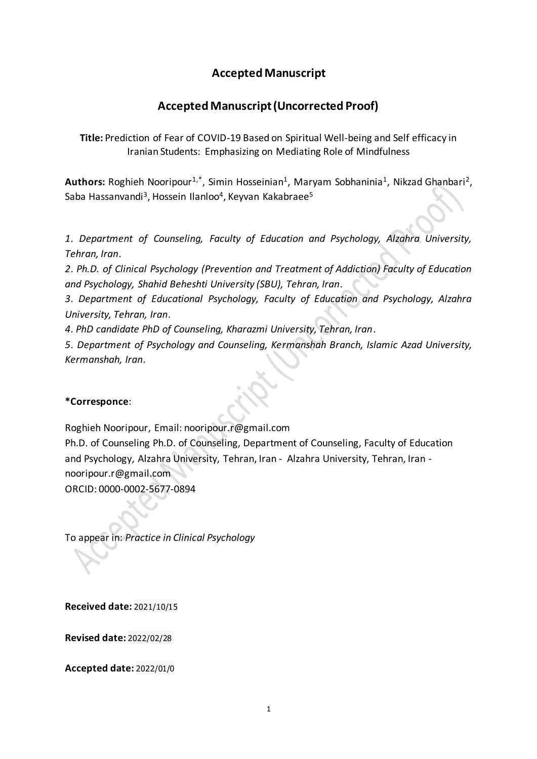## **Accepted Manuscript**

# **Accepted Manuscript (Uncorrected Proof)**

**Title:** Prediction of Fear of COVID-19 Based on Spiritual Well-being and Self efficacy in Iranian Students: Emphasizing on Mediating Role of Mindfulness

Authors: Roghieh Nooripour<sup>1,\*</sup>, Simin Hosseinian<sup>1</sup>, Maryam Sobhaninia<sup>1</sup>, Nikzad Ghanbari<sup>2</sup>, Saba Hassanvandi<sup>3</sup>, Hossein Ilanloo<sup>4</sup>, Keyvan Kakabraee<sup>5</sup>

*1*. *Department of Counseling, Faculty of Education and Psychology, Alzahra University, Tehran, Iran*.

*2*. *Ph.D. of Clinical Psychology (Prevention and Treatment of Addiction) Faculty of Education and Psychology, Shahid Beheshti University (SBU), Tehran, Iran*.

*3*. *Department of Educational Psychology, Faculty of Education and Psychology, Alzahra University, Tehran, Iran*.

*4*. *PhD candidate PhD of Counseling, Kharazmi University, Tehran, Iran*.

*5*. *Department of Psychology and Counseling, Kermanshah Branch, Islamic Azad University, Kermanshah, Iran*.

## **\*Corresponce**:

Roghieh Nooripour, Email[: nooripour.r@gmail.com](mailto:nooripour.r@gmail.com)

Ph.D. of Counseling Ph.D. of Counseling, Department of Counseling, Faculty of Education and Psychology, Alzahra University, Tehran, Iran - Alzahra University, Tehran, Iran nooripour.r@gmail.com

ORCID: 0000-0002-5677-0894

To appear in: *Practice in Clinical Psychology*

**Received date:** 2021/10/15

**Revised date:** 2022/02/28

**Accepted date:** 2022/01/0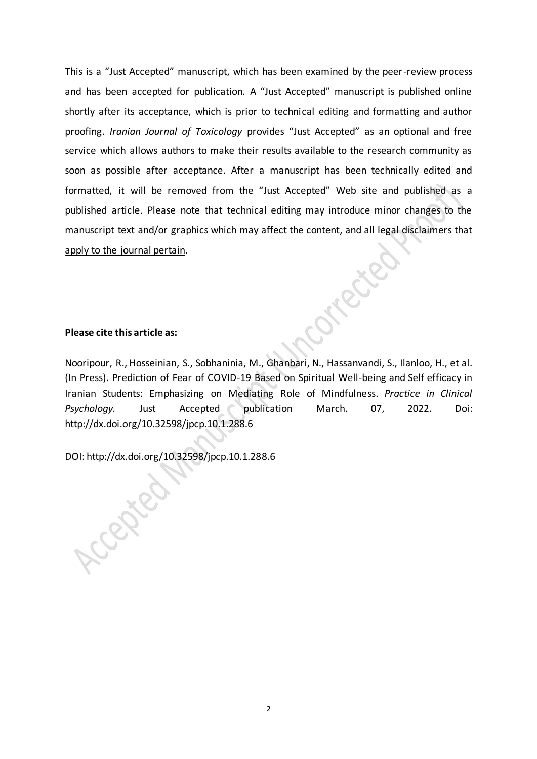This is a "Just Accepted" manuscript, which has been examined by the peer-review process and has been accepted for publication. A "Just Accepted" manuscript is published online shortly after its acceptance, which is prior to technical editing and formatting and author proofing. *Iranian Journal of Toxicology* provides "Just Accepted" as an optional and free service which allows authors to make their results available to the research community as soon as possible after acceptance. After a manuscript has been technically edited and formatted, it will be removed from the "Just Accepted" Web site and published as a published article. Please note that technical editing may introduce minor changes to the manuscript text and/or graphics which may affect the content, and all legal disclaimers that apply to the journal pertain.

## **Please cite this article as:**

Cepted

Nooripour, R., Hosseinian, S., Sobhaninia, M., Ghanbari, N., Hassanvandi, S., Ilanloo, H., et al. (In Press). Prediction of Fear of COVID-19 Based on Spiritual Well-being and Self efficacy in Iranian Students: Emphasizing on Mediating Role of Mindfulness. *Practice in Clinical Psychology.* Just Accepted publication March. 07, 2022. Doi: <http://dx.doi.org/10.32598/jpcp.10.1.288.6>

Ricci

DOI: http://dx.doi.org/10.32598/jpcp.10.1.288.6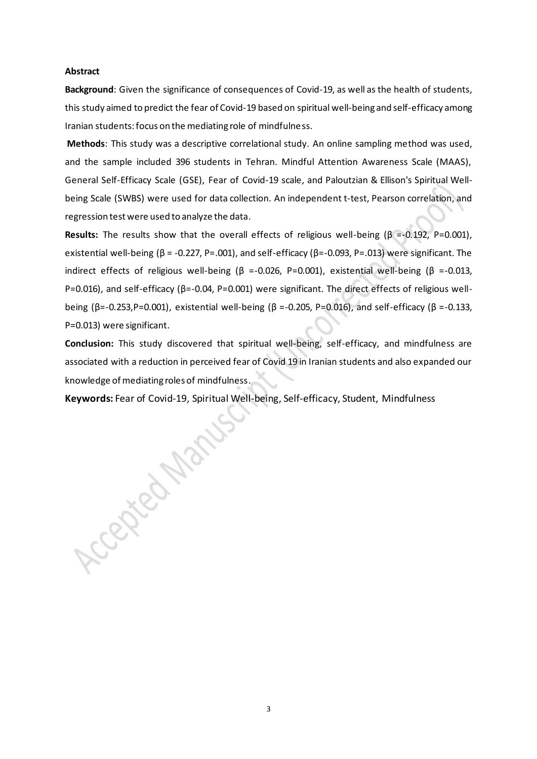#### **Abstract**

**Background**: Given the significance of consequences of Covid-19, as well as the health of students, this study aimed to predict the fear of Covid-19 based on spiritual well-being and self-efficacy among Iranian students: focus on the mediating role of mindfulness.

**Methods**: This study was a descriptive correlational study. An online sampling method was used, and the sample included 396 students in Tehran. Mindful Attention Awareness Scale (MAAS), General Self-Efficacy Scale (GSE), Fear of Covid-19 scale, and Paloutzian & Ellison's Spiritual Wellbeing Scale (SWBS) were used for data collection. An independent t-test, Pearson correlation, and regression test were used to analyze the data.

**Results:** The results show that the overall effects of religious well-being (β =-0.192, P=0.001), existential well-being ( $\beta$  = -0.227, P=.001), and self-efficacy ( $\beta$ =-0.093, P=.013) were significant. The indirect effects of religious well-being (β =-0.026, P=0.001), existential well-being (β =-0.013, P=0.016), and self-efficacy (β=-0.04, P=0.001) were significant. The direct effects of religious wellbeing (β=-0.253,P=0.001), existential well-being (β =-0.205, P=0.016), and self-efficacy (β =-0.133, P=0.013) were significant.

**Conclusion:** This study discovered that spiritual well-being, self-efficacy, and mindfulness are associated with a reduction in perceived fear of Covid 19 in Iranian students and also expanded our knowledge of mediating roles of mindfulness.

**Keywords:** Fear of Covid-19, Spiritual Well-being, Self-efficacy, Student, Mindfulness<br>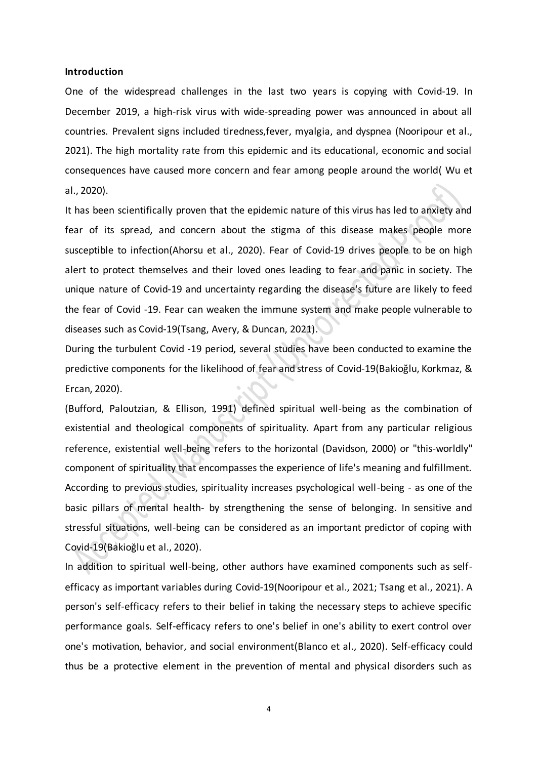#### **Introduction**

One of the widespread challenges in the last two years is copying with Covid-19. In December 2019, a high-risk virus with wide-spreading power was announced in about all countries. Prevalent signs included tiredness,fever, myalgia, and dyspnea (Nooripour et al., 2021). The high mortality rate from this epidemic and its educational, economic and social consequences have caused more concern and fear among people around the world( Wu et al., 2020).

It has been scientifically proven that the epidemic nature of this virus has led to anxiety and fear of its spread, and concern about the stigma of this disease makes people more susceptible to infection(Ahorsu et al., 2020). Fear of Covid-19 drives people to be on high alert to protect themselves and their loved ones leading to fear and panic in society. The unique nature of Covid-19 and uncertainty regarding the disease's future are likely to feed the fear of Covid -19. Fear can weaken the immune system and make people vulnerable to diseases such as Covid-19(Tsang, Avery, & Duncan, 2021).

During the turbulent Covid -19 period, several studies have been conducted to examine the predictive components for the likelihood of fear and stress of Covid-19(Bakioğlu, Korkmaz, & Ercan, 2020).

(Bufford, Paloutzian, & Ellison, 1991) defined spiritual well-being as the combination of existential and theological components of spirituality. Apart from any particular religious reference, existential well-being refers to the horizontal (Davidson, 2000) or "this-worldly" component of spirituality that encompasses the experience of life's meaning and fulfillment. According to previous studies, spirituality increases psychological well-being - as one of the basic pillars of mental health- by strengthening the sense of belonging. In sensitive and stressful situations, well-being can be considered as an important predictor of coping with Covid-19(Bakioğlu et al., 2020).

In addition to spiritual well-being, other authors have examined components such as selfefficacy as important variables during Covid-19(Nooripour et al., 2021; Tsang et al., 2021). A person's self-efficacy refers to their belief in taking the necessary steps to achieve specific performance goals. Self-efficacy refers to one's belief in one's ability to exert control over one's motivation, behavior, and social environment(Blanco et al., 2020). Self-efficacy could thus be a protective element in the prevention of mental and physical disorders such as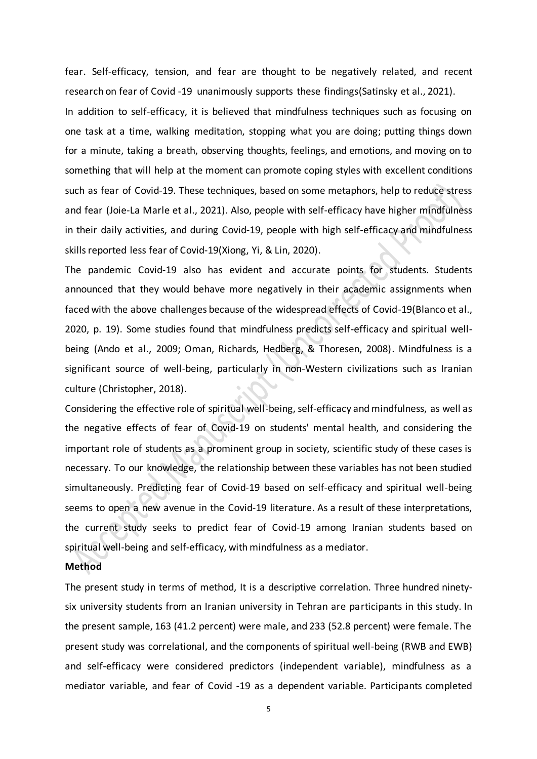fear. Self-efficacy, tension, and fear are thought to be negatively related, and recent research on fear of Covid -19 unanimously supports these findings(Satinsky et al., 2021). In addition to self-efficacy, it is believed that mindfulness techniques such as focusing on one task at a time, walking meditation, stopping what you are doing; putting things down for a minute, taking a breath, observing thoughts, feelings, and emotions, and moving on to something that will help at the moment can promote coping styles with excellent conditions such as fear of Covid-19. These techniques, based on some metaphors, help to reduce stress and fear (Joie-La Marle et al., 2021). Also, people with self-efficacy have higher mindfulness in their daily activities, and during Covid-19, people with high self-efficacy and mindfulness skills reported less fear of Covid-19(Xiong, Yi, & Lin, 2020).

The pandemic Covid-19 also has evident and accurate points for students. Students announced that they would behave more negatively in their academic assignments when faced with the above challenges because of the widespread effects of Covid-19(Blanco et al., 2020, p. 19). Some studies found that mindfulness predicts self-efficacy and spiritual wellbeing (Ando et al., 2009; Oman, Richards, Hedberg, & Thoresen, 2008). Mindfulness is a significant source of well-being, particularly in non-Western civilizations such as Iranian culture (Christopher, 2018).

Considering the effective role of spiritual well-being, self-efficacy and mindfulness, as well as the negative effects of fear of Covid-19 on students' mental health, and considering the important role of students as a prominent group in society, scientific study of these cases is necessary. To our knowledge, the relationship between these variables has not been studied simultaneously. Predicting fear of Covid-19 based on self-efficacy and spiritual well-being seems to open a new avenue in the Covid-19 literature. As a result of these interpretations, the current study seeks to predict fear of Covid-19 among Iranian students based on spiritual well-being and self-efficacy, with mindfulness as a mediator.

### **Method**

The present study in terms of method, It is a descriptive correlation. Three hundred ninetysix university students from an Iranian university in Tehran are participants in this study. In the present sample, 163 (41.2 percent) were male, and 233 (52.8 percent) were female. The present study was correlational, and the components of spiritual well-being (RWB and EWB) and self-efficacy were considered predictors (independent variable), mindfulness as a mediator variable, and fear of Covid -19 as a dependent variable. Participants completed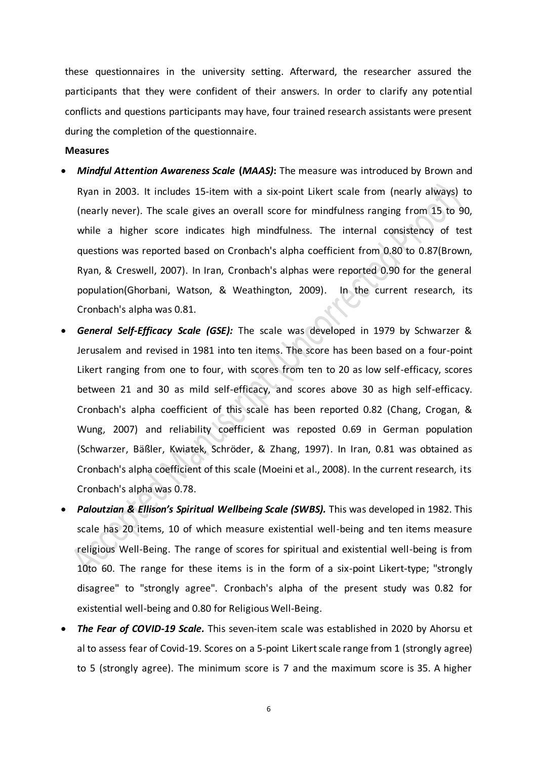these questionnaires in the university setting. Afterward, the researcher assured the participants that they were confident of their answers. In order to clarify any potential conflicts and questions participants may have, four trained research assistants were present during the completion of the questionnaire.

#### **Measures**

- *Mindful Attention Awareness Scale* **(***MAAS)***:** The measure was introduced by Brown and Ryan in 2003. It includes 15-item with a six-point Likert scale from (nearly always) to (nearly never). The scale gives an overall score for mindfulness ranging from 15 to 90, while a higher score indicates high mindfulness. The internal consistency of test questions was reported based on Cronbach's alpha coefficient from 0.80 to 0.87(Brown, Ryan, & Creswell, 2007). In Iran, Cronbach's alphas were reported 0.90 for the general population(Ghorbani, Watson, & Weathington, 2009). In the current research, its Cronbach's alpha was 0.81.
- *General Self-Efficacy Scale (GSE):* The scale was developed in 1979 by Schwarzer & Jerusalem and revised in 1981 into ten items. The score has been based on a four-point Likert ranging from one to four, with scores from ten to 20 as low self-efficacy, scores between 21 and 30 as mild self-efficacy, and scores above 30 as high self-efficacy. Cronbach's alpha coefficient of this scale has been reported 0.82 (Chang, Crogan, & Wung, 2007) and reliability coefficient was reposted 0.69 in German population (Schwarzer, Bäßler, Kwiatek, Schröder, & Zhang, 1997). In Iran, 0.81 was obtained as Cronbach's alpha coefficient of this scale (Moeini et al., 2008). In the current research, its Cronbach's alpha was 0.78.
- *Paloutzian & Ellison's Spiritual Wellbeing Scale (SWBS).* This was developed in 1982. This scale has 20 items, 10 of which measure existential well-being and ten items measure religious Well-Being. The range of scores for spiritual and existential well-being is from 10to 60. The range for these items is in the form of a six-point Likert-type; "strongly disagree" to "strongly agree". Cronbach's alpha of the present study was 0.82 for existential well-being and 0.80 for Religious Well-Being.
- *The Fear of COVID-19 Scale.* This seven-item scale was established in 2020 by Ahorsu et al to assess fear of Covid-19. Scores on a 5-point Likert scale range from 1 (strongly agree) to 5 (strongly agree). The minimum score is 7 and the maximum score is 35. A higher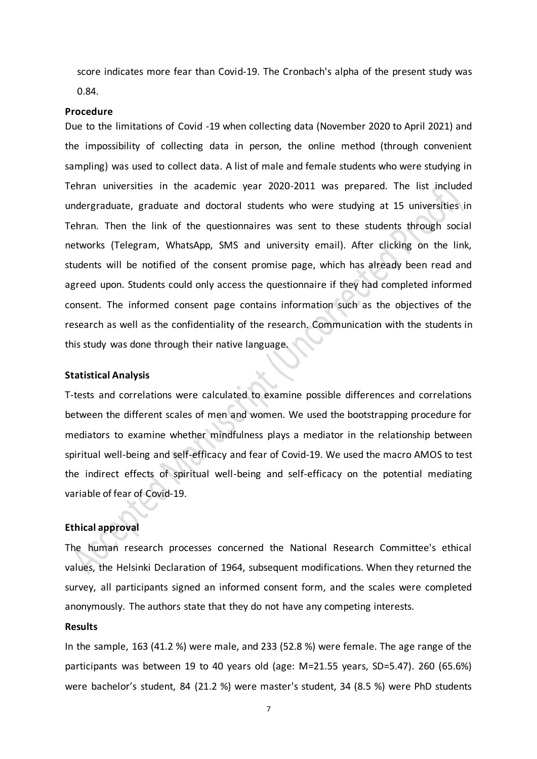score indicates more fear than Covid-19. The Cronbach's alpha of the present study was 0.84.

#### **Procedure**

Due to the limitations of Covid -19 when collecting data (November 2020 to April 2021) and the impossibility of collecting data in person, the online method (through convenient sampling) was used to collect data. A list of male and female students who were studying in Tehran universities in the academic year 2020-2011 was prepared. The list included undergraduate, graduate and doctoral students who were studying at 15 universities in Tehran. Then the link of the questionnaires was sent to these students through social networks (Telegram, WhatsApp, SMS and university email). After clicking on the link, students will be notified of the consent promise page, which has already been read and agreed upon. Students could only access the questionnaire if they had completed informed consent. The informed consent page contains information such as the objectives of the research as well as the confidentiality of the research. Communication with the students in this study was done through their native language.

#### **Statistical Analysis**

T-tests and correlations were calculated to examine possible differences and correlations between the different scales of men and women. We used the bootstrapping procedure for mediators to examine whether mindfulness plays a mediator in the relationship between spiritual well-being and self-efficacy and fear of Covid-19. We used the macro AMOS to test the indirect effects of spiritual well-being and self-efficacy on the potential mediating variable of fear of Covid-19.

## **Ethical approval**

The human research processes concerned the National Research Committee's ethical values, the Helsinki Declaration of 1964, subsequent modifications. When they returned the survey, all participants signed an informed consent form, and the scales were completed anonymously. The authors state that they do not have any competing interests.

#### **Results**

In the sample, 163 (41.2 %) were male, and 233 (52.8 %) were female. The age range of the participants was between 19 to 40 years old (age: M=21.55 years, SD=5.47). 260 (65.6%) were bachelor's student, 84 (21.2 %) were master's student, 34 (8.5 %) were PhD students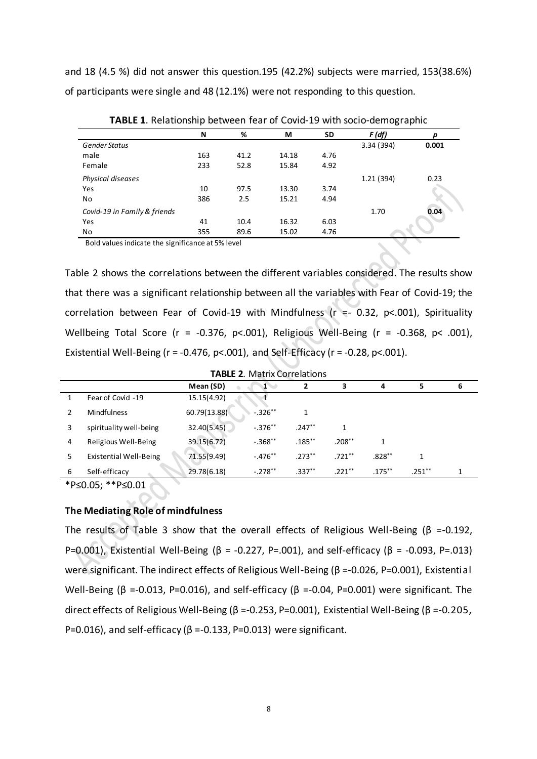and 18 (4.5 %) did not answer this question.195 (42.2%) subjects were married, 153(38.6%) of participants were single and 48 (12.1%) were not responding to this question.

|                              | N   | %    | М     | <b>SD</b> | F(df)      | p     |  |
|------------------------------|-----|------|-------|-----------|------------|-------|--|
| <b>Gender Status</b>         |     |      |       |           | 3.34 (394) | 0.001 |  |
| male                         | 163 | 41.2 | 14.18 | 4.76      |            |       |  |
| Female                       | 233 | 52.8 | 15.84 | 4.92      |            |       |  |
| Physical diseases            |     |      |       |           | 1.21(394)  | 0.23  |  |
| Yes                          | 10  | 97.5 | 13.30 | 3.74      |            |       |  |
| No                           | 386 | 2.5  | 15.21 | 4.94      |            |       |  |
| Covid-19 in Family & friends |     |      |       |           | 1.70       | 0.04  |  |
| Yes                          | 41  | 10.4 | 16.32 | 6.03      |            |       |  |
| No                           | 355 | 89.6 | 15.02 | 4.76      |            |       |  |
|                              |     |      |       |           |            |       |  |

**TABLE 1**. Relationship between fear of Covid-19 with socio-demographic

Bold values indicate the significance at 5% level

Table 2 shows the correlations between the different variables considered. The results show that there was a significant relationship between all the variables with Fear of Covid-19; the correlation between Fear of Covid-19 with Mindfulness ( $r = -0.32$ ,  $p < .001$ ), Spirituality Wellbeing Total Score ( $r = -0.376$ ,  $p < .001$ ), Religious Well-Being ( $r = -0.368$ ,  $p < .001$ ), Existential Well-Being ( $r = -0.476$ ,  $p < .001$ ), and Self-Efficacy ( $r = -0.28$ ,  $p < .001$ ).

| <b>TABLE 2. Matrix Correlations</b> |                               |              |           |           |           |           |           |   |
|-------------------------------------|-------------------------------|--------------|-----------|-----------|-----------|-----------|-----------|---|
|                                     |                               | Mean (SD)    |           |           |           | 4         | 5         | 6 |
|                                     | Fear of Covid -19             | 15.15(4.92)  |           |           |           |           |           |   |
|                                     | Mindfulness                   | 60.79(13.88) | $-.326**$ |           |           |           |           |   |
| 3                                   | spirituality well-being       | 32.40(5.45)  | $-.376**$ | $.247**$  |           |           |           |   |
| 4                                   | Religious Well-Being          | 39.15(6.72)  | $-.368**$ | $.185***$ | $.208***$ |           |           |   |
| 5.                                  | <b>Existential Well-Being</b> | 71.55(9.49)  | $-.476**$ | $.273**$  | $.721***$ | $.828**$  |           |   |
| 6                                   | Self-efficacy                 | 29.78(6.18)  | $-.278**$ | $.337**$  | $.221***$ | $.175***$ | $.251***$ |   |

\*P≤0.05; \*\*P≤0.01

## **The Mediating Role of mindfulness**

The results of Table 3 show that the overall effects of Religious Well-Being ( $\beta$  =-0.192, P=0.001), Existential Well-Being ( $\beta$  = -0.227, P=.001), and self-efficacy ( $\beta$  = -0.093, P=.013) were significant. The indirect effects of Religious Well-Being (β =-0.026, P=0.001), Existential Well-Being (β =-0.013, P=0.016), and self-efficacy (β =-0.04, P=0.001) were significant. The direct effects of Religious Well-Being (β =-0.253, P=0.001), Existential Well-Being (β =-0.205, P=0.016), and self-efficacy ( $\beta$  =-0.133, P=0.013) were significant.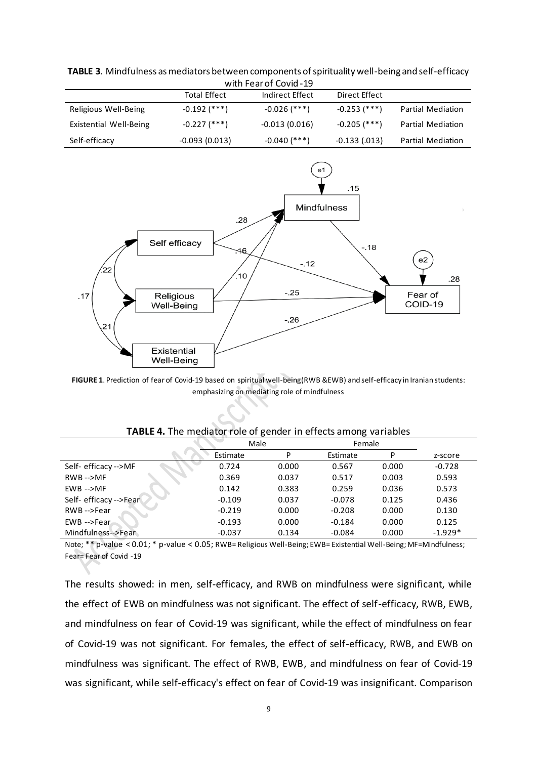| with Fear of Covid - 19 |                     |                 |                 |                          |  |  |  |
|-------------------------|---------------------|-----------------|-----------------|--------------------------|--|--|--|
|                         | <b>Total Effect</b> | Indirect Effect | Direct Effect   |                          |  |  |  |
| Religious Well-Being    | -0.192 (***)        | -0.026 (***)    | -0.253 (***)    | <b>Partial Mediation</b> |  |  |  |
| Existential Well-Being  | -0.227 (***)        | $-0.013(0.016)$ | $-0.205$ (***)  | <b>Partial Mediation</b> |  |  |  |
| Self-efficacy           | $-0.093(0.013)$     | $-0.040$ (***)  | $-0.133(0.013)$ | <b>Partial Mediation</b> |  |  |  |

**TABLE 3**. Mindfulness as mediators between components of spirituality well-being and self-efficacy  $i<sup>th</sup>$  Fear of Co



**FIGURE 1**. Prediction of fear of Covid-19 based on spiritual well-being(RWB &EWB) and self-efficacy in Iranian students: emphasizing on mediating role of mindfulness

|  |  |  |  |  | TABLE 4. The mediator role of gender in effects among variables |  |
|--|--|--|--|--|-----------------------------------------------------------------|--|
|--|--|--|--|--|-----------------------------------------------------------------|--|

|                        | Male     |       | Female   |       |           |
|------------------------|----------|-------|----------|-------|-----------|
|                        | Estimate | P     | Estimate | D     | z-score   |
| Self- efficacy -->MF   | 0.724    | 0.000 | 0.567    | 0.000 | $-0.728$  |
| $RWB \rightarrow MF$   | 0.369    | 0.037 | 0.517    | 0.003 | 0.593     |
| $EWB - > MF$           | 0.142    | 0.383 | 0.259    | 0.036 | 0.573     |
| Self- efficacy -->Fear | $-0.109$ | 0.037 | $-0.078$ | 0.125 | 0.436     |
| RWB-->Fear             | $-0.219$ | 0.000 | $-0.208$ | 0.000 | 0.130     |
| EWB -->Fear            | $-0.193$ | 0.000 | $-0.184$ | 0.000 | 0.125     |
| Mindfulness-->Fear     | $-0.037$ | 0.134 | $-0.084$ | 0.000 | $-1.929*$ |

Note; \*\* p-value < 0.01; \* p-value < 0.05; RWB= Religious Well-Being; EWB= Existential Well-Being; MF=Mindfulness; Fear= Fear of Covid -19

The results showed: in men, self-efficacy, and RWB on mindfulness were significant, while the effect of EWB on mindfulness was not significant. The effect of self-efficacy, RWB, EWB, and mindfulness on fear of Covid-19 was significant, while the effect of mindfulness on fear of Covid-19 was not significant. For females, the effect of self-efficacy, RWB, and EWB on mindfulness was significant. The effect of RWB, EWB, and mindfulness on fear of Covid-19 was significant, while self-efficacy's effect on fear of Covid-19 was insignificant. Comparison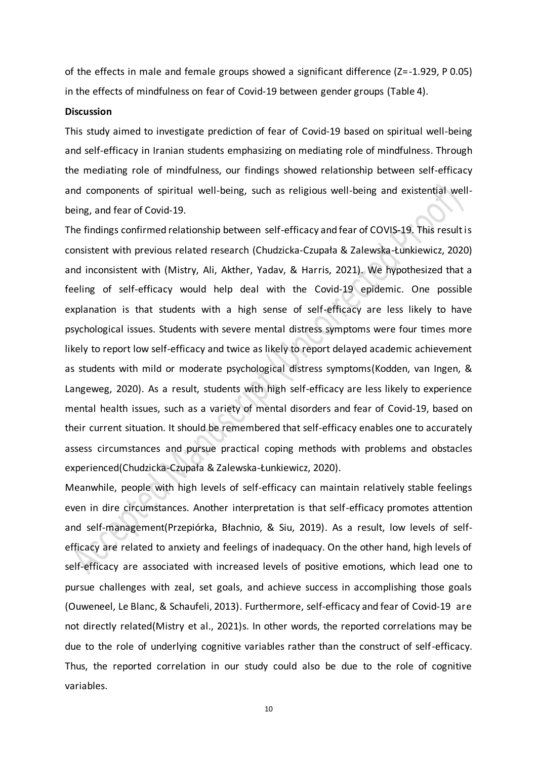of the effects in male and female groups showed a significant difference (Z=-1.929, P 0.05) in the effects of mindfulness on fear of Covid-19 between gender groups (Table 4).

#### **Discussion**

This study aimed to investigate prediction of fear of Covid-19 based on spiritual well-being and self-efficacy in Iranian students emphasizing on mediating role of mindfulness. Through the mediating role of mindfulness, our findings showed relationship between self-efficacy and components of spiritual well-being, such as religious well-being and existential wellbeing, and fear of Covid-19.

The findings confirmed relationship between self-efficacy and fear of COVIS-19. This result is consistent with previous related research (Chudzicka-Czupała & Zalewska-Łunkiewicz, 2020) and inconsistent with (Mistry, Ali, Akther, Yadav, & Harris, 2021). We hypothesized that a feeling of self-efficacy would help deal with the Covid-19 epidemic. One possible explanation is that students with a high sense of self-efficacy are less likely to have psychological issues. Students with severe mental distress symptoms were four times more likely to report low self-efficacy and twice as likely to report delayed academic achievement as students with mild or moderate psychological distress symptoms(Kodden, van Ingen, & Langeweg, 2020). As a result, students with high self-efficacy are less likely to experience mental health issues, such as a variety of mental disorders and fear of Covid-19, based on their current situation. It should be remembered that self-efficacy enables one to accurately assess circumstances and pursue practical coping methods with problems and obstacles experienced(Chudzicka-Czupała & Zalewska-Łunkiewicz, 2020).

Meanwhile, people with high levels of self-efficacy can maintain relatively stable feelings even in dire circumstances. Another interpretation is that self-efficacy promotes attention and self-management(Przepiórka, Błachnio, & Siu, 2019). As a result, low levels of selfefficacy are related to anxiety and feelings of inadequacy. On the other hand, high levels of self-efficacy are associated with increased levels of positive emotions, which lead one to pursue challenges with zeal, set goals, and achieve success in accomplishing those goals (Ouweneel, Le Blanc, & Schaufeli, 2013). Furthermore, self-efficacy and fear of Covid-19 are not directly related(Mistry et al., 2021)s. In other words, the reported correlations may be due to the role of underlying cognitive variables rather than the construct of self-efficacy. Thus, the reported correlation in our study could also be due to the role of cognitive variables.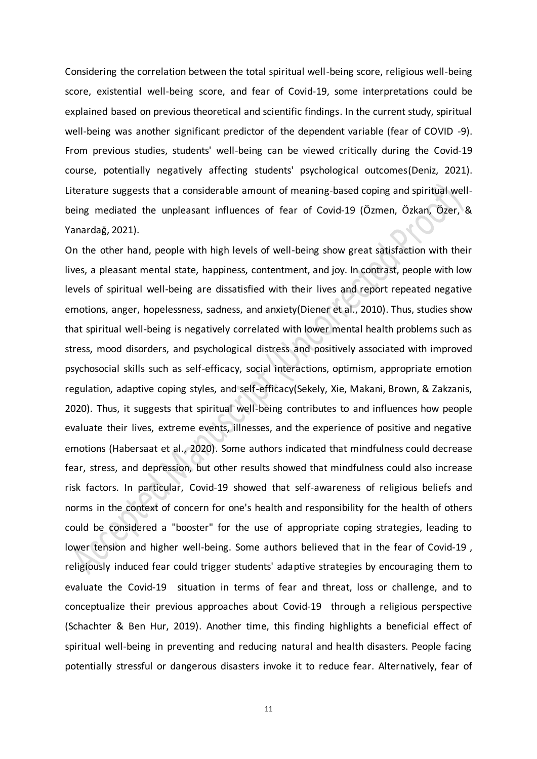Considering the correlation between the total spiritual well-being score, religious well-being score, existential well-being score, and fear of Covid-19, some interpretations could be explained based on previous theoretical and scientific findings. In the current study, spiritual well-being was another significant predictor of the dependent variable (fear of COVID -9). From previous studies, students' well-being can be viewed critically during the Covid-19 course, potentially negatively affecting students' psychological outcomes(Deniz, 2021). Literature suggests that a considerable amount of meaning-based coping and spiritual wellbeing mediated the unpleasant influences of fear of Covid-19 (Özmen, Özkan, Özer, & Yanardağ, 2021).

On the other hand, people with high levels of well-being show great satisfaction with their lives, a pleasant mental state, happiness, contentment, and joy. In contrast, people with low levels of spiritual well-being are dissatisfied with their lives and report repeated negative emotions, anger, hopelessness, sadness, and anxiety(Diener et al., 2010). Thus, studies show that spiritual well-being is negatively correlated with lower mental health problems such as stress, mood disorders, and psychological distress and positively associated with improved psychosocial skills such as self-efficacy, social interactions, optimism, appropriate emotion regulation, adaptive coping styles, and self-efficacy(Sekely, Xie, Makani, Brown, & Zakzanis, 2020). Thus, it suggests that spiritual well-being contributes to and influences how people evaluate their lives, extreme events, illnesses, and the experience of positive and negative emotions (Habersaat et al., 2020). Some authors indicated that mindfulness could decrease fear, stress, and depression, but other results showed that mindfulness could also increase risk factors. In particular, Covid-19 showed that self-awareness of religious beliefs and norms in the context of concern for one's health and responsibility for the health of others could be considered a "booster" for the use of appropriate coping strategies, leading to lower tension and higher well-being. Some authors believed that in the fear of Covid-19 , religiously induced fear could trigger students' adaptive strategies by encouraging them to evaluate the Covid-19 situation in terms of fear and threat, loss or challenge, and to conceptualize their previous approaches about Covid-19 through a religious perspective (Schachter & Ben Hur, 2019). Another time, this finding highlights a beneficial effect of spiritual well-being in preventing and reducing natural and health disasters. People facing potentially stressful or dangerous disasters invoke it to reduce fear. Alternatively, fear of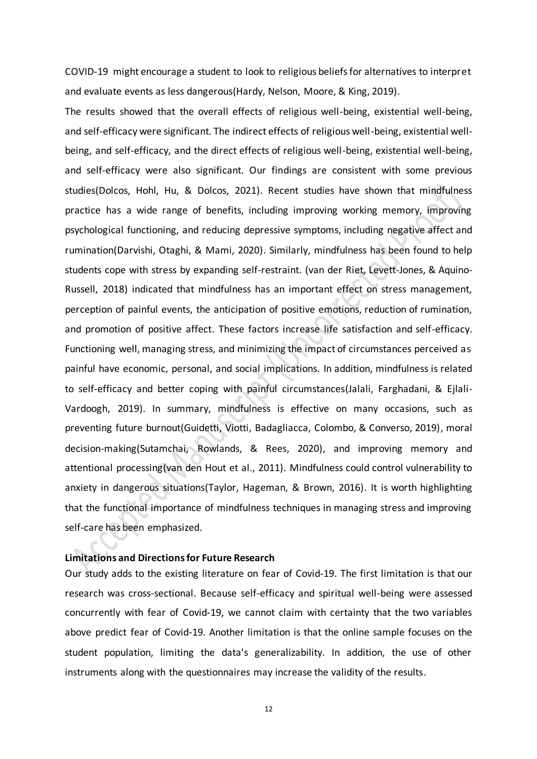COVID-19 might encourage a student to look to religious beliefs for alternatives to interpret and evaluate events as less dangerous(Hardy, Nelson, Moore, & King, 2019).

The results showed that the overall effects of religious well-being, existential well-being, and self-efficacy were significant. The indirect effects of religious well-being, existential wellbeing, and self-efficacy, and the direct effects of religious well-being, existential well-being, and self-efficacy were also significant. Our findings are consistent with some previous studies(Dolcos, Hohl, Hu, & Dolcos, 2021). Recent studies have shown that mindfulness practice has a wide range of benefits, including improving working memory, improving psychological functioning, and reducing depressive symptoms, including negative affect and rumination(Darvishi, Otaghi, & Mami, 2020). Similarly, mindfulness has been found to help students cope with stress by expanding self-restraint. (van der Riet, Levett-Jones, & Aquino-Russell, 2018) indicated that mindfulness has an important effect on stress management, perception of painful events, the anticipation of positive emotions, reduction of rumination, and promotion of positive affect. These factors increase life satisfaction and self-efficacy. Functioning well, managing stress, and minimizing the impact of circumstances perceived as painful have economic, personal, and social implications. In addition, mindfulness is related to self-efficacy and better coping with painful circumstances(Jalali, Farghadani, & Ejlali-Vardoogh, 2019). In summary, mindfulness is effective on many occasions, such as preventing future burnout(Guidetti, Viotti, Badagliacca, Colombo, & Converso, 2019), moral decision-making(Sutamchai, Rowlands, & Rees, 2020), and improving memory and attentional processing(van den Hout et al., 2011). Mindfulness could control vulnerability to anxiety in dangerous situations(Taylor, Hageman, & Brown, 2016). It is worth highlighting that the functional importance of mindfulness techniques in managing stress and improving self-care has been emphasized.

## **Limitations and Directions for Future Research**

Our study adds to the existing literature on fear of Covid-19. The first limitation is that our research was cross-sectional. Because self-efficacy and spiritual well-being were assessed concurrently with fear of Covid-19, we cannot claim with certainty that the two variables above predict fear of Covid-19. Another limitation is that the online sample focuses on the student population, limiting the data's generalizability. In addition, the use of other instruments along with the questionnaires may increase the validity of the results.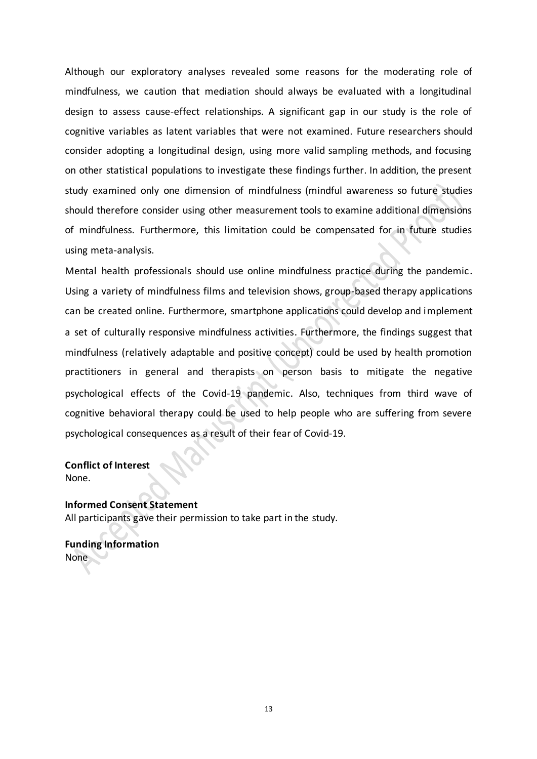Although our exploratory analyses revealed some reasons for the moderating role of mindfulness, we caution that mediation should always be evaluated with a longitudinal design to assess cause-effect relationships. A significant gap in our study is the role of cognitive variables as latent variables that were not examined. Future researchers should consider adopting a longitudinal design, using more valid sampling methods, and focusing on other statistical populations to investigate these findings further. In addition, the present study examined only one dimension of mindfulness (mindful awareness so future studies should therefore consider using other measurement tools to examine additional dimensions of mindfulness. Furthermore, this limitation could be compensated for in future studies using meta-analysis.

Mental health professionals should use online mindfulness practice during the pandemic. Using a variety of mindfulness films and television shows, group-based therapy applications can be created online. Furthermore, smartphone applications could develop and implement a set of culturally responsive mindfulness activities. Furthermore, the findings suggest that mindfulness (relatively adaptable and positive concept) could be used by health promotion practitioners in general and therapists on person basis to mitigate the negative psychological effects of the Covid-19 pandemic. Also, techniques from third wave of cognitive behavioral therapy could be used to help people who are suffering from severe psychological consequences as a result of their fear of Covid-19.

### **Conflict of Interest** None.

**Informed Consent Statement** All participants gave their permission to take part in the study.

**Funding Information** None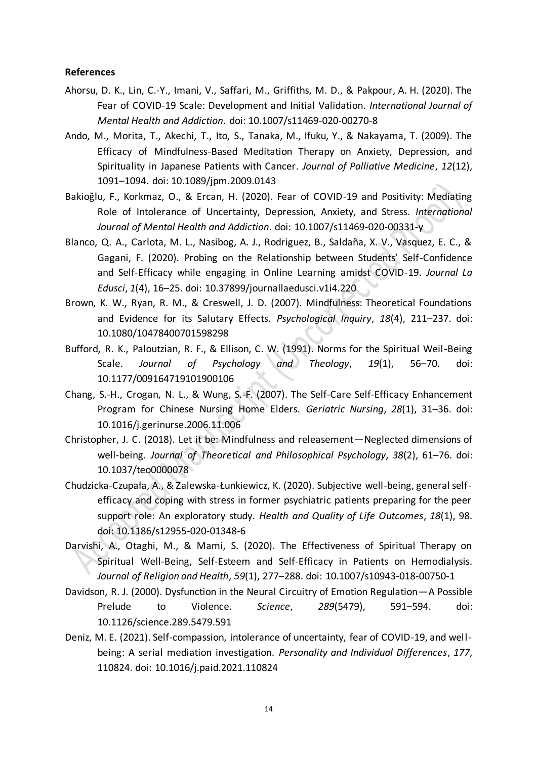#### **References**

- Ahorsu, D. K., Lin, C.-Y., Imani, V., Saffari, M., Griffiths, M. D., & Pakpour, A. H. (2020). The Fear of COVID-19 Scale: Development and Initial Validation. *International Journal of Mental Health and Addiction*. doi: 10.1007/s11469-020-00270-8
- Ando, M., Morita, T., Akechi, T., Ito, S., Tanaka, M., Ifuku, Y., & Nakayama, T. (2009). The Efficacy of Mindfulness-Based Meditation Therapy on Anxiety, Depression, and Spirituality in Japanese Patients with Cancer. *Journal of Palliative Medicine*, *12*(12), 1091–1094. doi: 10.1089/jpm.2009.0143
- Bakioğlu, F., Korkmaz, O., & Ercan, H. (2020). Fear of COVID-19 and Positivity: Mediating Role of Intolerance of Uncertainty, Depression, Anxiety, and Stress. *International Journal of Mental Health and Addiction*. doi: 10.1007/s11469-020-00331-y
- Blanco, Q. A., Carlota, M. L., Nasibog, A. J., Rodriguez, B., Saldaña, X. V., Vasquez, E. C., & Gagani, F. (2020). Probing on the Relationship between Students' Self-Confidence and Self-Efficacy while engaging in Online Learning amidst COVID-19. *Journal La Edusci*, *1*(4), 16–25. doi: 10.37899/journallaedusci.v1i4.220
- Brown, K. W., Ryan, R. M., & Creswell, J. D. (2007). Mindfulness: Theoretical Foundations and Evidence for its Salutary Effects. *Psychological Inquiry*, *18*(4), 211–237. doi: 10.1080/10478400701598298
- Bufford, R. K., Paloutzian, R. F., & Ellison, C. W. (1991). Norms for the Spiritual Weil-Being Scale. *Journal of Psychology and Theology*, *19*(1), 56–70. doi: 10.1177/009164719101900106
- Chang, S.-H., Crogan, N. L., & Wung, S.-F. (2007). The Self-Care Self-Efficacy Enhancement Program for Chinese Nursing Home Elders. *Geriatric Nursing*, *28*(1), 31–36. doi: 10.1016/j.gerinurse.2006.11.006
- Christopher, J. C. (2018). Let it be: Mindfulness and releasement—Neglected dimensions of well-being. *Journal of Theoretical and Philosophical Psychology*, *38*(2), 61–76. doi: 10.1037/teo0000078
- Chudzicka-Czupała, A., & Zalewska-Łunkiewicz, K. (2020). Subjective well-being, general selfefficacy and coping with stress in former psychiatric patients preparing for the peer support role: An exploratory study. *Health and Quality of Life Outcomes*, *18*(1), 98. doi: 10.1186/s12955-020-01348-6
- Darvishi, A., Otaghi, M., & Mami, S. (2020). The Effectiveness of Spiritual Therapy on Spiritual Well-Being, Self-Esteem and Self-Efficacy in Patients on Hemodialysis. *Journal of Religion and Health*, *59*(1), 277–288. doi: 10.1007/s10943-018-00750-1
- Davidson, R. J. (2000). Dysfunction in the Neural Circuitry of Emotion Regulation—A Possible Prelude to Violence. *Science*, *289*(5479), 591–594. doi: 10.1126/science.289.5479.591
- Deniz, M. E. (2021). Self-compassion, intolerance of uncertainty, fear of COVID-19, and wellbeing: A serial mediation investigation. *Personality and Individual Differences*, *177*, 110824. doi: 10.1016/j.paid.2021.110824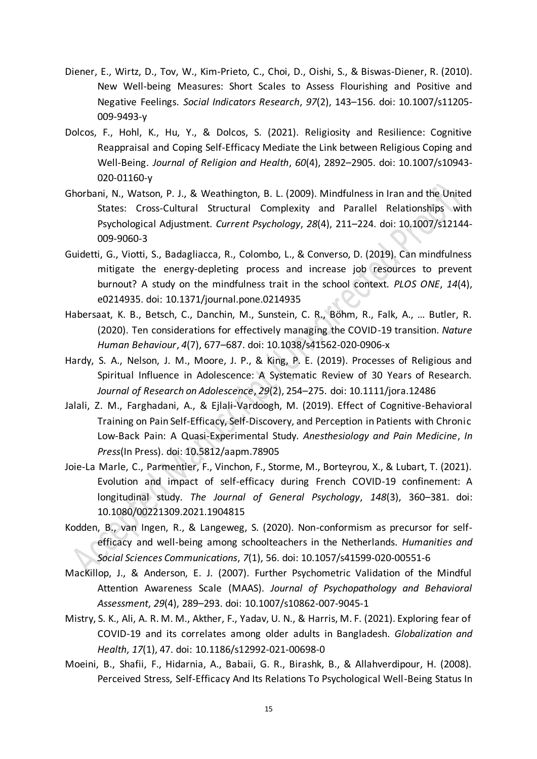- Diener, E., Wirtz, D., Tov, W., Kim-Prieto, C., Choi, D., Oishi, S., & Biswas-Diener, R. (2010). New Well-being Measures: Short Scales to Assess Flourishing and Positive and Negative Feelings. *Social Indicators Research*, *97*(2), 143–156. doi: 10.1007/s11205- 009-9493-y
- Dolcos, F., Hohl, K., Hu, Y., & Dolcos, S. (2021). Religiosity and Resilience: Cognitive Reappraisal and Coping Self-Efficacy Mediate the Link between Religious Coping and Well-Being. *Journal of Religion and Health*, *60*(4), 2892–2905. doi: 10.1007/s10943- 020-01160-y
- Ghorbani, N., Watson, P. J., & Weathington, B. L. (2009). Mindfulness in Iran and the United States: Cross-Cultural Structural Complexity and Parallel Relationships with Psychological Adjustment. *Current Psychology*, *28*(4), 211–224. doi: 10.1007/s12144- 009-9060-3
- Guidetti, G., Viotti, S., Badagliacca, R., Colombo, L., & Converso, D. (2019). Can mindfulness mitigate the energy-depleting process and increase job resources to prevent burnout? A study on the mindfulness trait in the school context. *PLOS ONE*, *14*(4), e0214935. doi: 10.1371/journal.pone.0214935
- Habersaat, K. B., Betsch, C., Danchin, M., Sunstein, C. R., Böhm, R., Falk, A., … Butler, R. (2020). Ten considerations for effectively managing the COVID-19 transition. *Nature Human Behaviour*, *4*(7), 677–687. doi: 10.1038/s41562-020-0906-x
- Hardy, S. A., Nelson, J. M., Moore, J. P., & King, P. E. (2019). Processes of Religious and Spiritual Influence in Adolescence: A Systematic Review of 30 Years of Research. *Journal of Research on Adolescence*, *29*(2), 254–275. doi: 10.1111/jora.12486
- Jalali, Z. M., Farghadani, A., & Ejlali-Vardoogh, M. (2019). Effect of Cognitive-Behavioral Training on Pain Self-Efficacy, Self-Discovery, and Perception in Patients with Chronic Low-Back Pain: A Quasi-Experimental Study. *Anesthesiology and Pain Medicine*, *In Press*(In Press). doi: 10.5812/aapm.78905
- Joie-La Marle, C., Parmentier, F., Vinchon, F., Storme, M., Borteyrou, X., & Lubart, T. (2021). Evolution and impact of self-efficacy during French COVID-19 confinement: A longitudinal study. *The Journal of General Psychology*, *148*(3), 360–381. doi: 10.1080/00221309.2021.1904815
- Kodden, B., van Ingen, R., & Langeweg, S. (2020). Non-conformism as precursor for selfefficacy and well-being among schoolteachers in the Netherlands. *Humanities and Social Sciences Communications*, *7*(1), 56. doi: 10.1057/s41599-020-00551-6
- MacKillop, J., & Anderson, E. J. (2007). Further Psychometric Validation of the Mindful Attention Awareness Scale (MAAS). *Journal of Psychopathology and Behavioral Assessment*, *29*(4), 289–293. doi: 10.1007/s10862-007-9045-1
- Mistry, S. K., Ali, A. R. M. M., Akther, F., Yadav, U. N., & Harris, M. F. (2021). Exploring fear of COVID-19 and its correlates among older adults in Bangladesh. *Globalization and Health*, *17*(1), 47. doi: 10.1186/s12992-021-00698-0
- Moeini, B., Shafii, F., Hidarnia, A., Babaii, G. R., Birashk, B., & Allahverdipour, H. (2008). Perceived Stress, Self-Efficacy And Its Relations To Psychological Well-Being Status In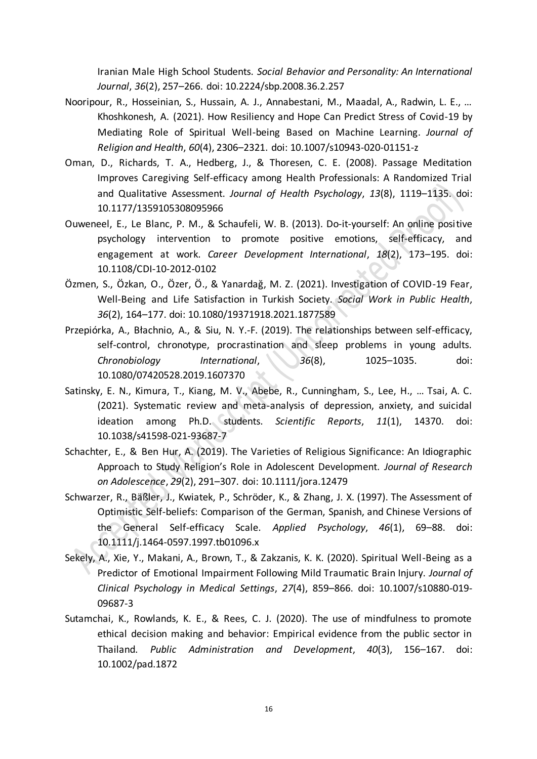Iranian Male High School Students. *Social Behavior and Personality: An International Journal*, *36*(2), 257–266. doi: 10.2224/sbp.2008.36.2.257

- Nooripour, R., Hosseinian, S., Hussain, A. J., Annabestani, M., Maadal, A., Radwin, L. E., … Khoshkonesh, A. (2021). How Resiliency and Hope Can Predict Stress of Covid-19 by Mediating Role of Spiritual Well-being Based on Machine Learning. *Journal of Religion and Health*, *60*(4), 2306–2321. doi: 10.1007/s10943-020-01151-z
- Oman, D., Richards, T. A., Hedberg, J., & Thoresen, C. E. (2008). Passage Meditation Improves Caregiving Self-efficacy among Health Professionals: A Randomized Trial and Qualitative Assessment. *Journal of Health Psychology*, *13*(8), 1119–1135. doi: 10.1177/1359105308095966
- Ouweneel, E., Le Blanc, P. M., & Schaufeli, W. B. (2013). Do‐it‐yourself: An online positive psychology intervention to promote positive emotions, self‐efficacy, and engagement at work. *Career Development International*, *18*(2), 173–195. doi: 10.1108/CDI-10-2012-0102
- Özmen, S., Özkan, O., Özer, Ö., & Yanardağ, M. Z. (2021). Investigation of COVID-19 Fear, Well-Being and Life Satisfaction in Turkish Society. *Social Work in Public Health*, *36*(2), 164–177. doi: 10.1080/19371918.2021.1877589
- Przepiórka, A., Błachnio, A., & Siu, N. Y.-F. (2019). The relationships between self-efficacy, self-control, chronotype, procrastination and sleep problems in young adults. *Chronobiology International*, *36*(8), 1025–1035. doi: 10.1080/07420528.2019.1607370
- Satinsky, E. N., Kimura, T., Kiang, M. V., Abebe, R., Cunningham, S., Lee, H., … Tsai, A. C. (2021). Systematic review and meta-analysis of depression, anxiety, and suicidal ideation among Ph.D. students. *Scientific Reports*, *11*(1), 14370. doi: 10.1038/s41598-021-93687-7
- Schachter, E., & Ben Hur, A. (2019). The Varieties of Religious Significance: An Idiographic Approach to Study Religion's Role in Adolescent Development. *Journal of Research on Adolescence*, *29*(2), 291–307. doi: 10.1111/jora.12479
- Schwarzer, R., Bäßler, J., Kwiatek, P., Schröder, K., & Zhang, J. X. (1997). The Assessment of Optimistic Self-beliefs: Comparison of the German, Spanish, and Chinese Versions of the General Self-efficacy Scale. *Applied Psychology*, *46*(1), 69–88. doi: 10.1111/j.1464-0597.1997.tb01096.x
- Sekely, A., Xie, Y., Makani, A., Brown, T., & Zakzanis, K. K. (2020). Spiritual Well-Being as a Predictor of Emotional Impairment Following Mild Traumatic Brain Injury. *Journal of Clinical Psychology in Medical Settings*, *27*(4), 859–866. doi: 10.1007/s10880-019- 09687-3
- Sutamchai, K., Rowlands, K. E., & Rees, C. J. (2020). The use of mindfulness to promote ethical decision making and behavior: Empirical evidence from the public sector in Thailand. *Public Administration and Development*, *40*(3), 156–167. doi: 10.1002/pad.1872